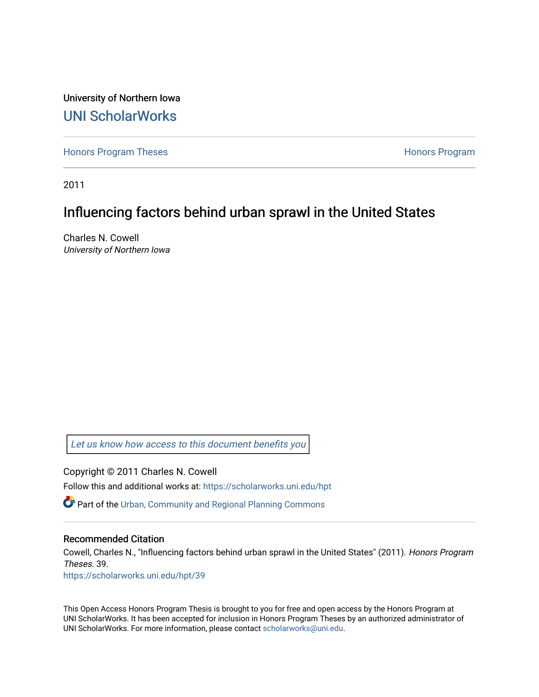University of Northern Iowa [UNI ScholarWorks](https://scholarworks.uni.edu/) 

[Honors Program Theses](https://scholarworks.uni.edu/hpt) **Honors Program** Honors Program

2011

# Influencing factors behind urban sprawl in the United States

Charles N. Cowell University of Northern Iowa

[Let us know how access to this document benefits you](https://scholarworks.uni.edu/feedback_form.html) 

Copyright © 2011 Charles N. Cowell Follow this and additional works at: [https://scholarworks.uni.edu/hpt](https://scholarworks.uni.edu/hpt?utm_source=scholarworks.uni.edu%2Fhpt%2F39&utm_medium=PDF&utm_campaign=PDFCoverPages) 

Part of the [Urban, Community and Regional Planning Commons](http://network.bepress.com/hgg/discipline/776?utm_source=scholarworks.uni.edu%2Fhpt%2F39&utm_medium=PDF&utm_campaign=PDFCoverPages)

#### Recommended Citation

Cowell, Charles N., "Influencing factors behind urban sprawl in the United States" (2011). Honors Program Theses. 39.

[https://scholarworks.uni.edu/hpt/39](https://scholarworks.uni.edu/hpt/39?utm_source=scholarworks.uni.edu%2Fhpt%2F39&utm_medium=PDF&utm_campaign=PDFCoverPages)

This Open Access Honors Program Thesis is brought to you for free and open access by the Honors Program at UNI ScholarWorks. It has been accepted for inclusion in Honors Program Theses by an authorized administrator of UNI ScholarWorks. For more information, please contact [scholarworks@uni.edu.](mailto:scholarworks@uni.edu)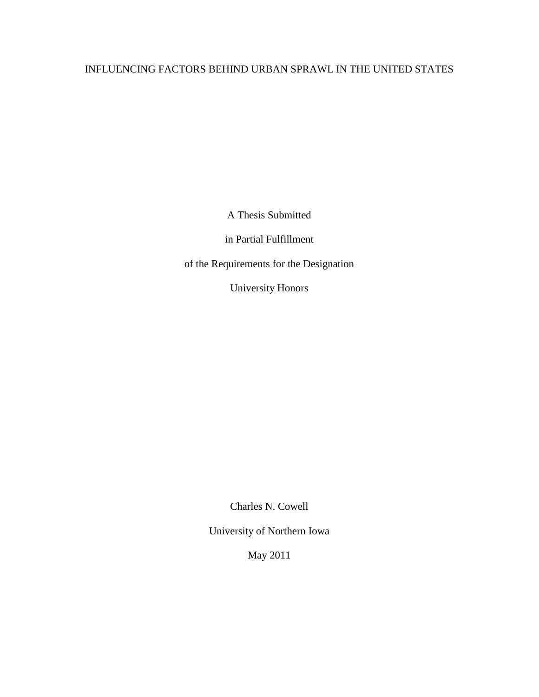## INFLUENCING FACTORS BEHIND URBAN SPRAWL IN THE UNITED STATES

A Thesis Submitted

in Partial Fulfillment

of the Requirements for the Designation

University Honors

Charles N. Cowell

University of Northern Iowa

May 2011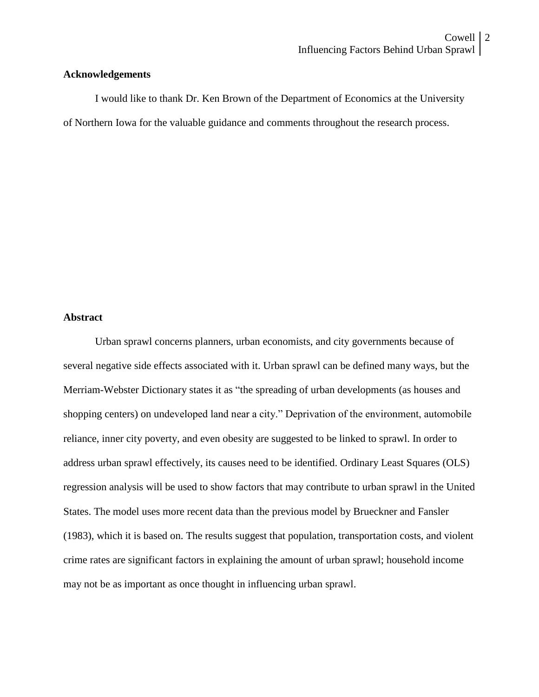#### **Acknowledgements**

I would like to thank Dr. Ken Brown of the Department of Economics at the University of Northern Iowa for the valuable guidance and comments throughout the research process.

## **Abstract**

Urban sprawl concerns planners, urban economists, and city governments because of several negative side effects associated with it. Urban sprawl can be defined many ways, but the Merriam-Webster Dictionary states it as "the spreading of urban developments (as houses and shopping centers) on undeveloped land near a city." Deprivation of the environment, automobile reliance, inner city poverty, and even obesity are suggested to be linked to sprawl. In order to address urban sprawl effectively, its causes need to be identified. Ordinary Least Squares (OLS) regression analysis will be used to show factors that may contribute to urban sprawl in the United States. The model uses more recent data than the previous model by Brueckner and Fansler (1983), which it is based on. The results suggest that population, transportation costs, and violent crime rates are significant factors in explaining the amount of urban sprawl; household income may not be as important as once thought in influencing urban sprawl.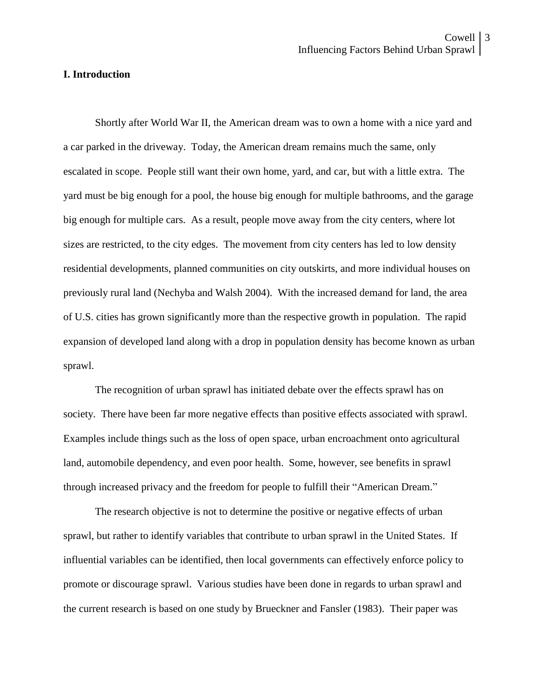#### **I. Introduction**

Shortly after World War II, the American dream was to own a home with a nice yard and a car parked in the driveway. Today, the American dream remains much the same, only escalated in scope. People still want their own home, yard, and car, but with a little extra. The yard must be big enough for a pool, the house big enough for multiple bathrooms, and the garage big enough for multiple cars. As a result, people move away from the city centers, where lot sizes are restricted, to the city edges. The movement from city centers has led to low density residential developments, planned communities on city outskirts, and more individual houses on previously rural land (Nechyba and Walsh 2004). With the increased demand for land, the area of U.S. cities has grown significantly more than the respective growth in population. The rapid expansion of developed land along with a drop in population density has become known as urban sprawl.

The recognition of urban sprawl has initiated debate over the effects sprawl has on society. There have been far more negative effects than positive effects associated with sprawl. Examples include things such as the loss of open space, urban encroachment onto agricultural land, automobile dependency, and even poor health. Some, however, see benefits in sprawl through increased privacy and the freedom for people to fulfill their "American Dream."

The research objective is not to determine the positive or negative effects of urban sprawl, but rather to identify variables that contribute to urban sprawl in the United States. If influential variables can be identified, then local governments can effectively enforce policy to promote or discourage sprawl. Various studies have been done in regards to urban sprawl and the current research is based on one study by Brueckner and Fansler (1983). Their paper was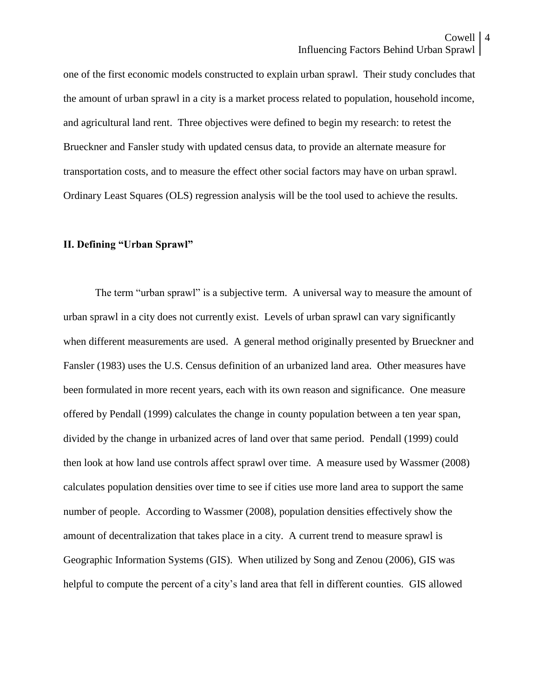one of the first economic models constructed to explain urban sprawl. Their study concludes that the amount of urban sprawl in a city is a market process related to population, household income, and agricultural land rent. Three objectives were defined to begin my research: to retest the Brueckner and Fansler study with updated census data, to provide an alternate measure for transportation costs, and to measure the effect other social factors may have on urban sprawl. Ordinary Least Squares (OLS) regression analysis will be the tool used to achieve the results.

#### **II. Defining "Urban Sprawl"**

The term "urban sprawl" is a subjective term. A universal way to measure the amount of urban sprawl in a city does not currently exist. Levels of urban sprawl can vary significantly when different measurements are used. A general method originally presented by Brueckner and Fansler (1983) uses the U.S. Census definition of an urbanized land area. Other measures have been formulated in more recent years, each with its own reason and significance. One measure offered by Pendall (1999) calculates the change in county population between a ten year span, divided by the change in urbanized acres of land over that same period. Pendall (1999) could then look at how land use controls affect sprawl over time. A measure used by Wassmer (2008) calculates population densities over time to see if cities use more land area to support the same number of people. According to Wassmer (2008), population densities effectively show the amount of decentralization that takes place in a city. A current trend to measure sprawl is Geographic Information Systems (GIS). When utilized by Song and Zenou (2006), GIS was helpful to compute the percent of a city's land area that fell in different counties. GIS allowed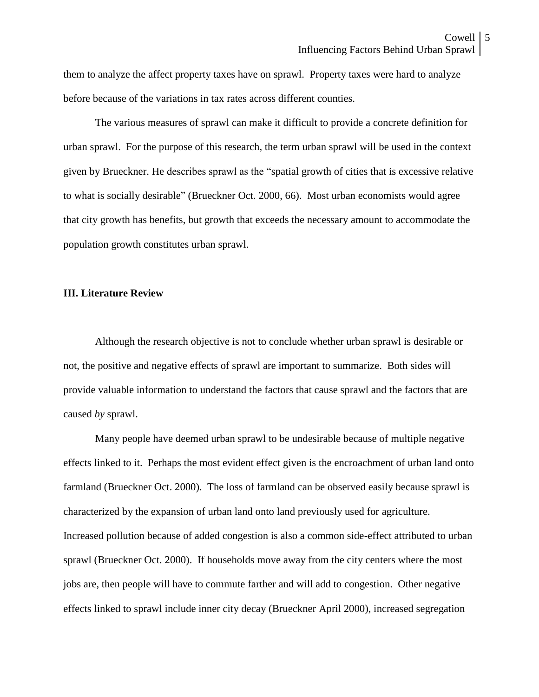them to analyze the affect property taxes have on sprawl. Property taxes were hard to analyze before because of the variations in tax rates across different counties.

The various measures of sprawl can make it difficult to provide a concrete definition for urban sprawl. For the purpose of this research, the term urban sprawl will be used in the context given by Brueckner. He describes sprawl as the "spatial growth of cities that is excessive relative to what is socially desirable" (Brueckner Oct. 2000, 66). Most urban economists would agree that city growth has benefits, but growth that exceeds the necessary amount to accommodate the population growth constitutes urban sprawl.

#### **III. Literature Review**

Although the research objective is not to conclude whether urban sprawl is desirable or not, the positive and negative effects of sprawl are important to summarize. Both sides will provide valuable information to understand the factors that cause sprawl and the factors that are caused *by* sprawl.

Many people have deemed urban sprawl to be undesirable because of multiple negative effects linked to it. Perhaps the most evident effect given is the encroachment of urban land onto farmland (Brueckner Oct. 2000). The loss of farmland can be observed easily because sprawl is characterized by the expansion of urban land onto land previously used for agriculture. Increased pollution because of added congestion is also a common side-effect attributed to urban sprawl (Brueckner Oct. 2000). If households move away from the city centers where the most jobs are, then people will have to commute farther and will add to congestion. Other negative effects linked to sprawl include inner city decay (Brueckner April 2000), increased segregation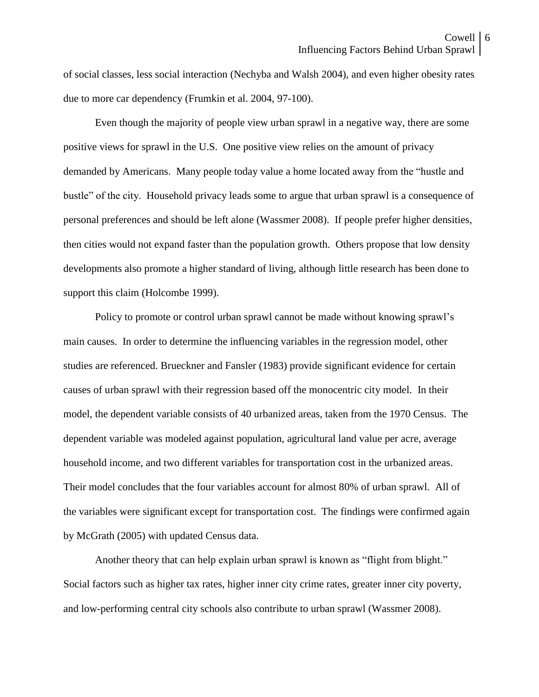of social classes, less social interaction (Nechyba and Walsh 2004), and even higher obesity rates due to more car dependency (Frumkin et al. 2004, 97-100).

Even though the majority of people view urban sprawl in a negative way, there are some positive views for sprawl in the U.S. One positive view relies on the amount of privacy demanded by Americans. Many people today value a home located away from the "hustle and bustle" of the city. Household privacy leads some to argue that urban sprawl is a consequence of personal preferences and should be left alone (Wassmer 2008). If people prefer higher densities, then cities would not expand faster than the population growth. Others propose that low density developments also promote a higher standard of living, although little research has been done to support this claim (Holcombe 1999).

Policy to promote or control urban sprawl cannot be made without knowing sprawl's main causes. In order to determine the influencing variables in the regression model, other studies are referenced. Brueckner and Fansler (1983) provide significant evidence for certain causes of urban sprawl with their regression based off the monocentric city model. In their model, the dependent variable consists of 40 urbanized areas, taken from the 1970 Census. The dependent variable was modeled against population, agricultural land value per acre, average household income, and two different variables for transportation cost in the urbanized areas. Their model concludes that the four variables account for almost 80% of urban sprawl. All of the variables were significant except for transportation cost. The findings were confirmed again by McGrath (2005) with updated Census data.

Another theory that can help explain urban sprawl is known as "flight from blight." Social factors such as higher tax rates, higher inner city crime rates, greater inner city poverty, and low-performing central city schools also contribute to urban sprawl (Wassmer 2008).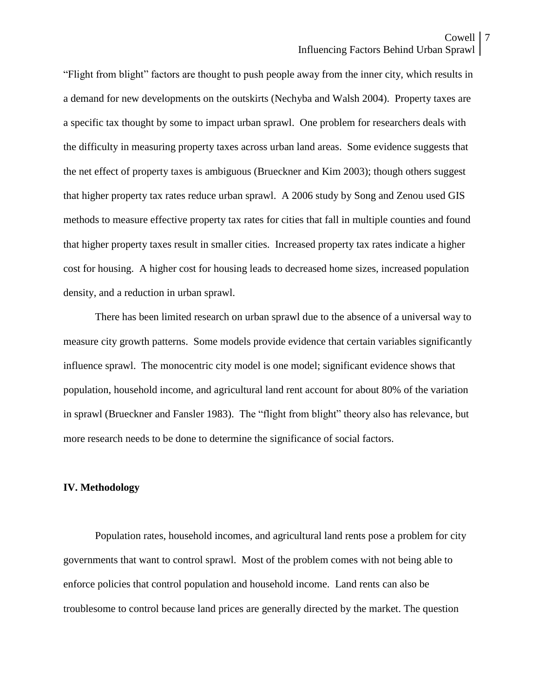"Flight from blight" factors are thought to push people away from the inner city, which results in a demand for new developments on the outskirts (Nechyba and Walsh 2004). Property taxes are a specific tax thought by some to impact urban sprawl. One problem for researchers deals with the difficulty in measuring property taxes across urban land areas. Some evidence suggests that the net effect of property taxes is ambiguous (Brueckner and Kim 2003); though others suggest that higher property tax rates reduce urban sprawl. A 2006 study by Song and Zenou used GIS methods to measure effective property tax rates for cities that fall in multiple counties and found that higher property taxes result in smaller cities. Increased property tax rates indicate a higher cost for housing. A higher cost for housing leads to decreased home sizes, increased population density, and a reduction in urban sprawl.

There has been limited research on urban sprawl due to the absence of a universal way to measure city growth patterns. Some models provide evidence that certain variables significantly influence sprawl. The monocentric city model is one model; significant evidence shows that population, household income, and agricultural land rent account for about 80% of the variation in sprawl (Brueckner and Fansler 1983). The "flight from blight" theory also has relevance, but more research needs to be done to determine the significance of social factors.

#### **IV. Methodology**

Population rates, household incomes, and agricultural land rents pose a problem for city governments that want to control sprawl. Most of the problem comes with not being able to enforce policies that control population and household income. Land rents can also be troublesome to control because land prices are generally directed by the market. The question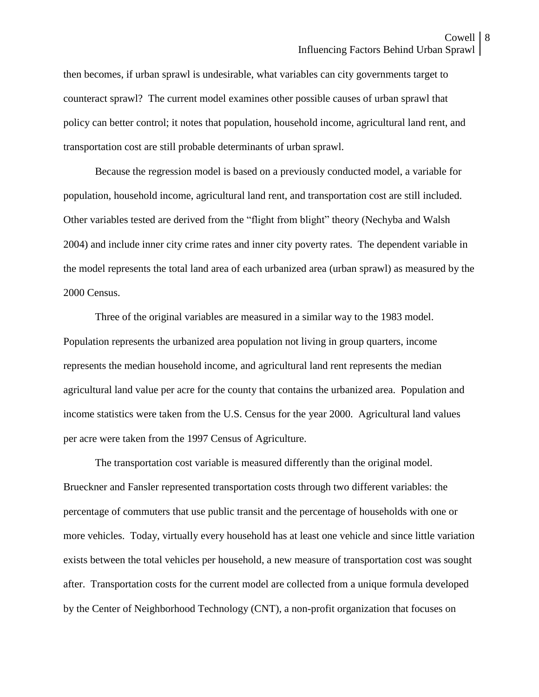then becomes, if urban sprawl is undesirable, what variables can city governments target to counteract sprawl? The current model examines other possible causes of urban sprawl that policy can better control; it notes that population, household income, agricultural land rent, and transportation cost are still probable determinants of urban sprawl.

Because the regression model is based on a previously conducted model, a variable for population, household income, agricultural land rent, and transportation cost are still included. Other variables tested are derived from the "flight from blight" theory (Nechyba and Walsh 2004) and include inner city crime rates and inner city poverty rates. The dependent variable in the model represents the total land area of each urbanized area (urban sprawl) as measured by the 2000 Census.

Three of the original variables are measured in a similar way to the 1983 model. Population represents the urbanized area population not living in group quarters, income represents the median household income, and agricultural land rent represents the median agricultural land value per acre for the county that contains the urbanized area. Population and income statistics were taken from the U.S. Census for the year 2000. Agricultural land values per acre were taken from the 1997 Census of Agriculture.

The transportation cost variable is measured differently than the original model. Brueckner and Fansler represented transportation costs through two different variables: the percentage of commuters that use public transit and the percentage of households with one or more vehicles. Today, virtually every household has at least one vehicle and since little variation exists between the total vehicles per household, a new measure of transportation cost was sought after. Transportation costs for the current model are collected from a unique formula developed by the Center of Neighborhood Technology (CNT), a non-profit organization that focuses on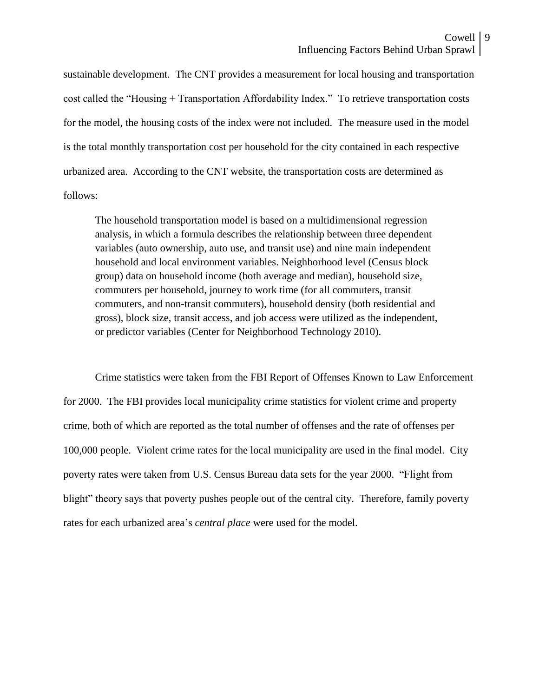sustainable development. The CNT provides a measurement for local housing and transportation cost called the "Housing + Transportation Affordability Index." To retrieve transportation costs for the model, the housing costs of the index were not included. The measure used in the model is the total monthly transportation cost per household for the city contained in each respective urbanized area. According to the CNT website, the transportation costs are determined as follows:

The household transportation model is based on a multidimensional regression analysis, in which a formula describes the relationship between three dependent variables (auto ownership, auto use, and transit use) and nine main independent household and local environment variables. Neighborhood level (Census block group) data on household income (both average and median), household size, commuters per household, journey to work time (for all commuters, transit commuters, and non-transit commuters), household density (both residential and gross), block size, transit access, and job access were utilized as the independent, or predictor variables (Center for Neighborhood Technology 2010).

Crime statistics were taken from the FBI Report of Offenses Known to Law Enforcement for 2000. The FBI provides local municipality crime statistics for violent crime and property crime, both of which are reported as the total number of offenses and the rate of offenses per 100,000 people. Violent crime rates for the local municipality are used in the final model. City poverty rates were taken from U.S. Census Bureau data sets for the year 2000. "Flight from blight" theory says that poverty pushes people out of the central city. Therefore, family poverty rates for each urbanized area's *central place* were used for the model.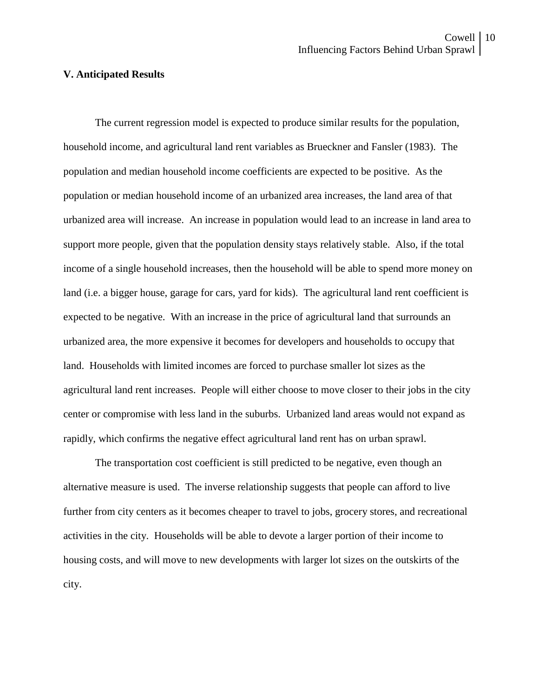### **V. Anticipated Results**

The current regression model is expected to produce similar results for the population, household income, and agricultural land rent variables as Brueckner and Fansler (1983). The population and median household income coefficients are expected to be positive. As the population or median household income of an urbanized area increases, the land area of that urbanized area will increase. An increase in population would lead to an increase in land area to support more people, given that the population density stays relatively stable. Also, if the total income of a single household increases, then the household will be able to spend more money on land (i.e. a bigger house, garage for cars, yard for kids). The agricultural land rent coefficient is expected to be negative. With an increase in the price of agricultural land that surrounds an urbanized area, the more expensive it becomes for developers and households to occupy that land. Households with limited incomes are forced to purchase smaller lot sizes as the agricultural land rent increases. People will either choose to move closer to their jobs in the city center or compromise with less land in the suburbs. Urbanized land areas would not expand as rapidly, which confirms the negative effect agricultural land rent has on urban sprawl.

The transportation cost coefficient is still predicted to be negative, even though an alternative measure is used. The inverse relationship suggests that people can afford to live further from city centers as it becomes cheaper to travel to jobs, grocery stores, and recreational activities in the city. Households will be able to devote a larger portion of their income to housing costs, and will move to new developments with larger lot sizes on the outskirts of the city.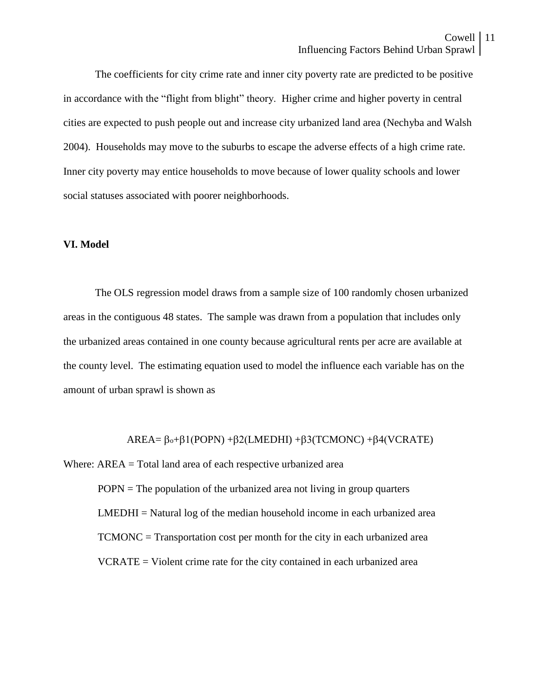The coefficients for city crime rate and inner city poverty rate are predicted to be positive in accordance with the "flight from blight" theory. Higher crime and higher poverty in central cities are expected to push people out and increase city urbanized land area (Nechyba and Walsh 2004). Households may move to the suburbs to escape the adverse effects of a high crime rate. Inner city poverty may entice households to move because of lower quality schools and lower social statuses associated with poorer neighborhoods.

#### **VI. Model**

The OLS regression model draws from a sample size of 100 randomly chosen urbanized areas in the contiguous 48 states. The sample was drawn from a population that includes only the urbanized areas contained in one county because agricultural rents per acre are available at the county level. The estimating equation used to model the influence each variable has on the amount of urban sprawl is shown as

 $AREA = \beta_0 + \beta_1 (POPN) + \beta_2 (LMEDHI) + \beta_3 (TCMONC) + \beta_4 (VCRATE)$ 

Where: AREA = Total land area of each respective urbanized area POPN = The population of the urbanized area not living in group quarters  $LMEDHI = Natural log of the median household income in each urbanized area$ TCMONC = Transportation cost per month for the city in each urbanized area VCRATE = Violent crime rate for the city contained in each urbanized area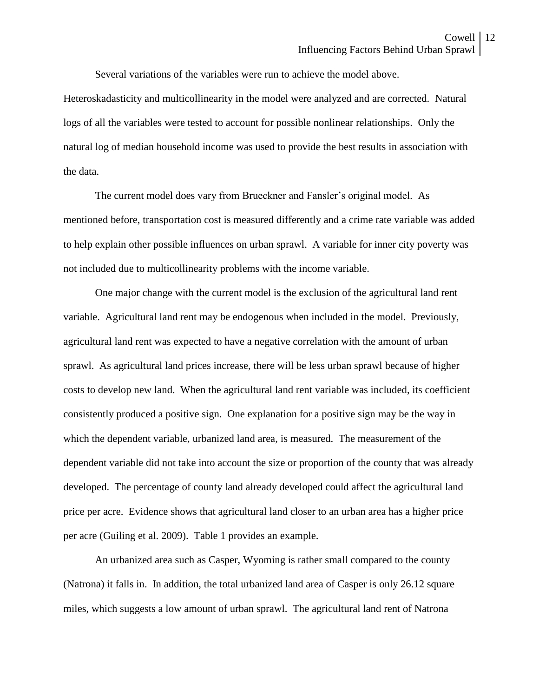Several variations of the variables were run to achieve the model above.

Heteroskadasticity and multicollinearity in the model were analyzed and are corrected. Natural logs of all the variables were tested to account for possible nonlinear relationships. Only the natural log of median household income was used to provide the best results in association with the data.

The current model does vary from Brueckner and Fansler's original model. As mentioned before, transportation cost is measured differently and a crime rate variable was added to help explain other possible influences on urban sprawl. A variable for inner city poverty was not included due to multicollinearity problems with the income variable.

One major change with the current model is the exclusion of the agricultural land rent variable. Agricultural land rent may be endogenous when included in the model. Previously, agricultural land rent was expected to have a negative correlation with the amount of urban sprawl. As agricultural land prices increase, there will be less urban sprawl because of higher costs to develop new land. When the agricultural land rent variable was included, its coefficient consistently produced a positive sign. One explanation for a positive sign may be the way in which the dependent variable, urbanized land area, is measured. The measurement of the dependent variable did not take into account the size or proportion of the county that was already developed. The percentage of county land already developed could affect the agricultural land price per acre. Evidence shows that agricultural land closer to an urban area has a higher price per acre (Guiling et al. 2009). Table 1 provides an example.

An urbanized area such as Casper, Wyoming is rather small compared to the county (Natrona) it falls in. In addition, the total urbanized land area of Casper is only 26.12 square miles, which suggests a low amount of urban sprawl. The agricultural land rent of Natrona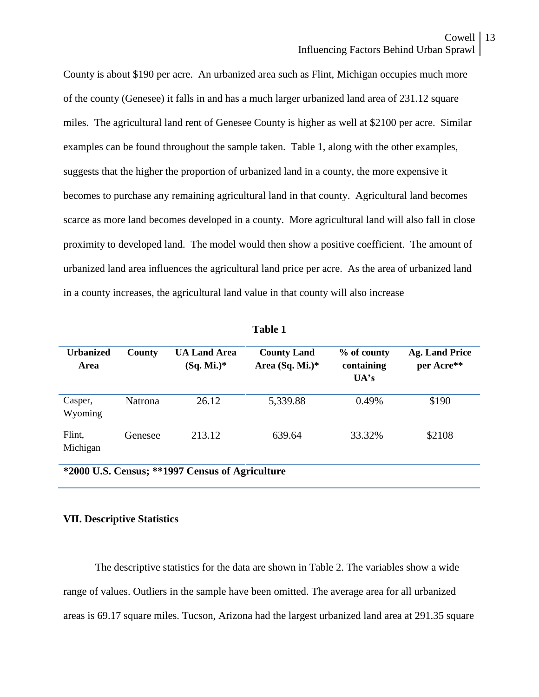County is about \$190 per acre. An urbanized area such as Flint, Michigan occupies much more of the county (Genesee) it falls in and has a much larger urbanized land area of 231.12 square miles. The agricultural land rent of Genesee County is higher as well at \$2100 per acre. Similar examples can be found throughout the sample taken. Table 1, along with the other examples, suggests that the higher the proportion of urbanized land in a county, the more expensive it becomes to purchase any remaining agricultural land in that county. Agricultural land becomes scarce as more land becomes developed in a county. More agricultural land will also fall in close proximity to developed land. The model would then show a positive coefficient. The amount of urbanized land area influences the agricultural land price per acre. As the area of urbanized land in a county increases, the agricultural land value in that county will also increase

| Tanic T                                         |                |                                     |                                         |                                   |                                     |  |  |  |
|-------------------------------------------------|----------------|-------------------------------------|-----------------------------------------|-----------------------------------|-------------------------------------|--|--|--|
| <b>Urbanized</b><br>Area                        | County         | <b>UA Land Area</b><br>$(Sq. Mi.)*$ | <b>County Land</b><br>Area $(Sq. Mi.)*$ | % of county<br>containing<br>UA's | <b>Ag. Land Price</b><br>per Acre** |  |  |  |
| Casper,<br>Wyoming                              | <b>Natrona</b> | 26.12                               | 5,339.88                                | 0.49%                             | \$190                               |  |  |  |
| Flint,<br>Michigan                              | Genesee        | 213.12                              | 639.64                                  | 33.32%                            | \$2108                              |  |  |  |
| *2000 U.S. Census; **1997 Census of Agriculture |                |                                     |                                         |                                   |                                     |  |  |  |

**Table 1**

#### **VII. Descriptive Statistics**

The descriptive statistics for the data are shown in Table 2. The variables show a wide range of values. Outliers in the sample have been omitted. The average area for all urbanized areas is 69.17 square miles. Tucson, Arizona had the largest urbanized land area at 291.35 square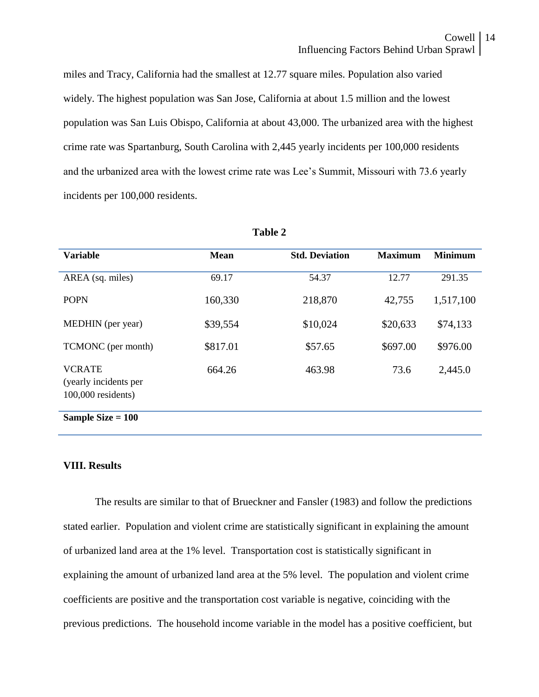miles and Tracy, California had the smallest at 12.77 square miles. Population also varied widely. The highest population was San Jose, California at about 1.5 million and the lowest population was San Luis Obispo, California at about 43,000. The urbanized area with the highest crime rate was Spartanburg, South Carolina with 2,445 yearly incidents per 100,000 residents and the urbanized area with the lowest crime rate was Lee's Summit, Missouri with 73.6 yearly incidents per 100,000 residents.

| <b>Variable</b>                                              | <b>Mean</b> | <b>Std. Deviation</b> | <b>Maximum</b> | <b>Minimum</b> |
|--------------------------------------------------------------|-------------|-----------------------|----------------|----------------|
| AREA (sq. miles)                                             | 69.17       | 54.37                 | 12.77          | 291.35         |
| <b>POPN</b>                                                  | 160,330     | 218,870               | 42,755         | 1,517,100      |
| MEDHIN (per year)                                            | \$39,554    | \$10,024              | \$20,633       | \$74,133       |
| TCMONC (per month)                                           | \$817.01    | \$57.65               | \$697.00       | \$976.00       |
| <b>VCRATE</b><br>(yearly incidents per<br>100,000 residents) | 664.26      | 463.98                | 73.6           | 2,445.0        |
| Sample Size $= 100$                                          |             |                       |                |                |

**Table 2**

### **VIII. Results**

The results are similar to that of Brueckner and Fansler (1983) and follow the predictions stated earlier. Population and violent crime are statistically significant in explaining the amount of urbanized land area at the 1% level. Transportation cost is statistically significant in explaining the amount of urbanized land area at the 5% level. The population and violent crime coefficients are positive and the transportation cost variable is negative, coinciding with the previous predictions. The household income variable in the model has a positive coefficient, but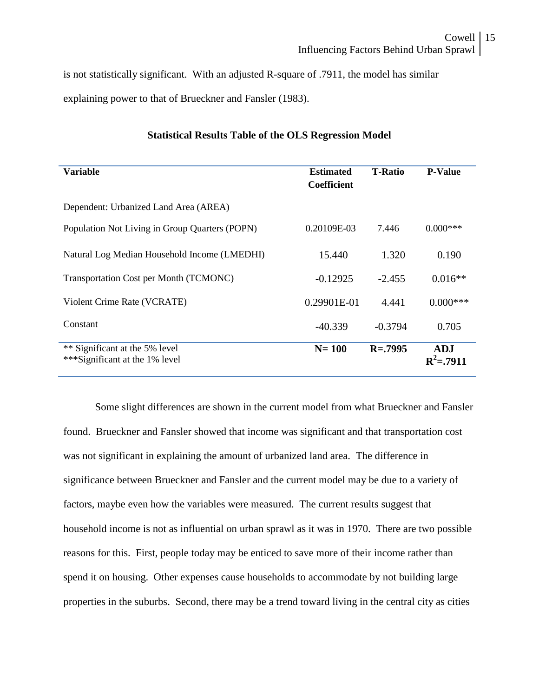is not statistically significant. With an adjusted R-square of .7911, the model has similar explaining power to that of Brueckner and Fansler (1983).

| Variable                                                         | <b>Estimated</b><br><b>Coefficient</b> | <b>T-Ratio</b> | <b>P-Value</b>             |
|------------------------------------------------------------------|----------------------------------------|----------------|----------------------------|
| Dependent: Urbanized Land Area (AREA)                            |                                        |                |                            |
| Population Not Living in Group Quarters (POPN)                   | 0.20109E-03                            | 7.446          | $0.000$ ***                |
| Natural Log Median Household Income (LMEDHI)                     | 15.440                                 | 1.320          | 0.190                      |
| Transportation Cost per Month (TCMONC)                           | $-0.12925$                             | $-2.455$       | $0.016**$                  |
| Violent Crime Rate (VCRATE)                                      | 0.29901E-01                            | 4.441          | $0.000$ ***                |
| Constant                                                         | $-40.339$                              | $-0.3794$      | 0.705                      |
| ** Significant at the 5% level<br>***Significant at the 1% level | $N = 100$                              | $R = .7995$    | <b>ADJ</b><br>$R^2 = 7911$ |

## **Statistical Results Table of the OLS Regression Model**

Some slight differences are shown in the current model from what Brueckner and Fansler found. Brueckner and Fansler showed that income was significant and that transportation cost was not significant in explaining the amount of urbanized land area. The difference in significance between Brueckner and Fansler and the current model may be due to a variety of factors, maybe even how the variables were measured. The current results suggest that household income is not as influential on urban sprawl as it was in 1970. There are two possible reasons for this. First, people today may be enticed to save more of their income rather than spend it on housing. Other expenses cause households to accommodate by not building large properties in the suburbs. Second, there may be a trend toward living in the central city as cities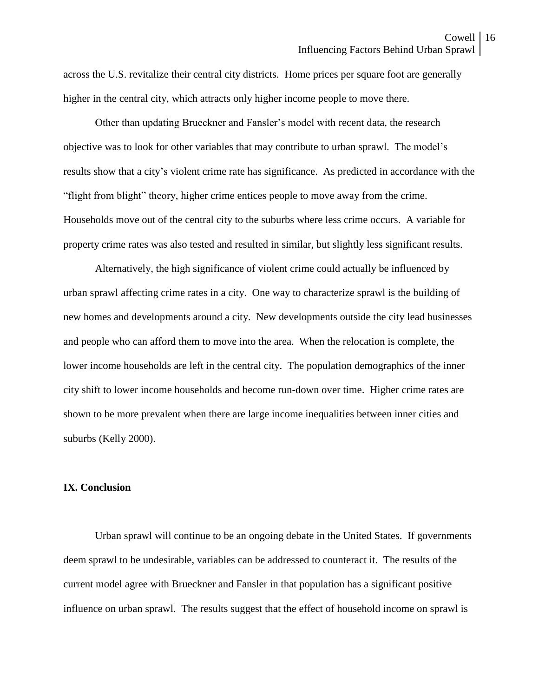across the U.S. revitalize their central city districts. Home prices per square foot are generally higher in the central city, which attracts only higher income people to move there.

Other than updating Brueckner and Fansler's model with recent data, the research objective was to look for other variables that may contribute to urban sprawl. The model's results show that a city's violent crime rate has significance. As predicted in accordance with the "flight from blight" theory, higher crime entices people to move away from the crime. Households move out of the central city to the suburbs where less crime occurs. A variable for property crime rates was also tested and resulted in similar, but slightly less significant results.

Alternatively, the high significance of violent crime could actually be influenced by urban sprawl affecting crime rates in a city. One way to characterize sprawl is the building of new homes and developments around a city. New developments outside the city lead businesses and people who can afford them to move into the area. When the relocation is complete, the lower income households are left in the central city. The population demographics of the inner city shift to lower income households and become run-down over time. Higher crime rates are shown to be more prevalent when there are large income inequalities between inner cities and suburbs (Kelly 2000).

### **IX. Conclusion**

Urban sprawl will continue to be an ongoing debate in the United States. If governments deem sprawl to be undesirable, variables can be addressed to counteract it. The results of the current model agree with Brueckner and Fansler in that population has a significant positive influence on urban sprawl. The results suggest that the effect of household income on sprawl is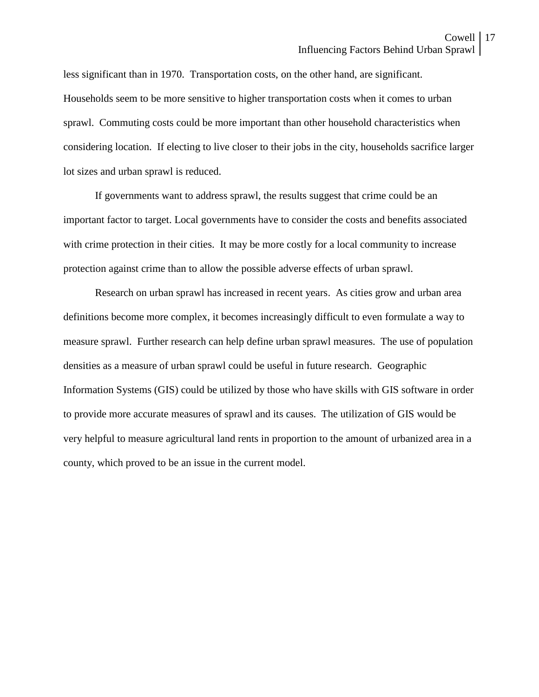less significant than in 1970. Transportation costs, on the other hand, are significant. Households seem to be more sensitive to higher transportation costs when it comes to urban sprawl. Commuting costs could be more important than other household characteristics when considering location. If electing to live closer to their jobs in the city, households sacrifice larger lot sizes and urban sprawl is reduced.

If governments want to address sprawl, the results suggest that crime could be an important factor to target. Local governments have to consider the costs and benefits associated with crime protection in their cities. It may be more costly for a local community to increase protection against crime than to allow the possible adverse effects of urban sprawl.

Research on urban sprawl has increased in recent years. As cities grow and urban area definitions become more complex, it becomes increasingly difficult to even formulate a way to measure sprawl. Further research can help define urban sprawl measures. The use of population densities as a measure of urban sprawl could be useful in future research. Geographic Information Systems (GIS) could be utilized by those who have skills with GIS software in order to provide more accurate measures of sprawl and its causes. The utilization of GIS would be very helpful to measure agricultural land rents in proportion to the amount of urbanized area in a county, which proved to be an issue in the current model.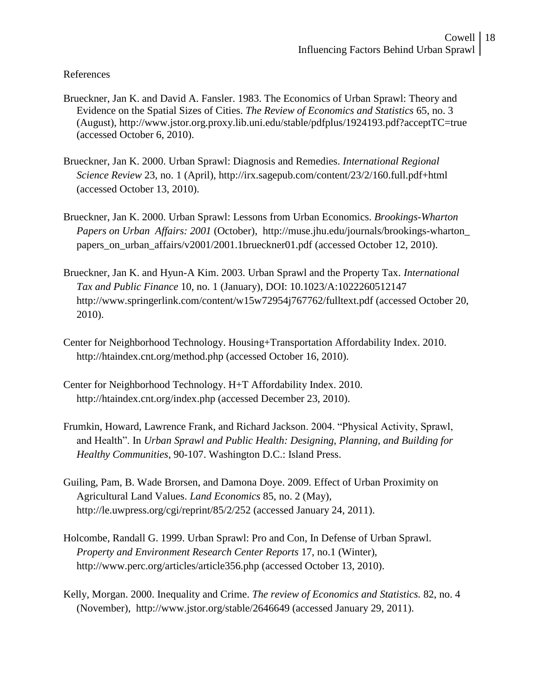## References

- Brueckner, Jan K. and David A. Fansler. 1983. The Economics of Urban Sprawl: Theory and Evidence on the Spatial Sizes of Cities. *The Review of Economics and Statistics* 65, no. 3 (August), http://www.jstor.org.proxy.lib.uni.edu/stable/pdfplus/1924193.pdf?acceptTC=true (accessed October 6, 2010).
- Brueckner, Jan K. 2000. Urban Sprawl: Diagnosis and Remedies. *International Regional Science Review* 23, no. 1 (April), http://irx.sagepub.com/content/23/2/160.full.pdf+html (accessed October 13, 2010).
- Brueckner, Jan K. 2000. Urban Sprawl: Lessons from Urban Economics. *Brookings-Wharton Papers on Urban Affairs: 2001* (October), http://muse.jhu.edu/journals/brookings-wharton\_ papers\_on\_urban\_affairs/v2001/2001.1brueckner01.pdf (accessed October 12, 2010).
- Brueckner, Jan K. and Hyun-A Kim. 2003. Urban Sprawl and the Property Tax. *International Tax and Public Finance* 10, no. 1 (January), DOI: 10.1023/A:1022260512147 http://www.springerlink.com/content/w15w72954j767762/fulltext.pdf (accessed October 20, 2010).
- Center for Neighborhood Technology. Housing+Transportation Affordability Index. 2010. http://htaindex.cnt.org/method.php (accessed October 16, 2010).
- Center for Neighborhood Technology. H+T Affordability Index. 2010. http://htaindex.cnt.org/index.php (accessed December 23, 2010).
- Frumkin, Howard, Lawrence Frank, and Richard Jackson. 2004. "Physical Activity, Sprawl, and Health". In *Urban Sprawl and Public Health: Designing, Planning, and Building for Healthy Communities*, 90-107. Washington D.C.: Island Press.
- Guiling, Pam, B. Wade Brorsen, and Damona Doye. 2009. Effect of Urban Proximity on Agricultural Land Values. *Land Economics* 85, no. 2 (May), http://le.uwpress.org/cgi/reprint/85/2/252 (accessed January 24, 2011).
- Holcombe, Randall G. 1999. Urban Sprawl: Pro and Con, In Defense of Urban Sprawl. *Property and Environment Research Center Reports* 17, no.1 (Winter), http://www.perc.org/articles/article356.php (accessed October 13, 2010).
- Kelly, Morgan. 2000. Inequality and Crime. *The review of Economics and Statistics.* 82, no. 4 (November), http://www.jstor.org/stable/2646649 (accessed January 29, 2011).